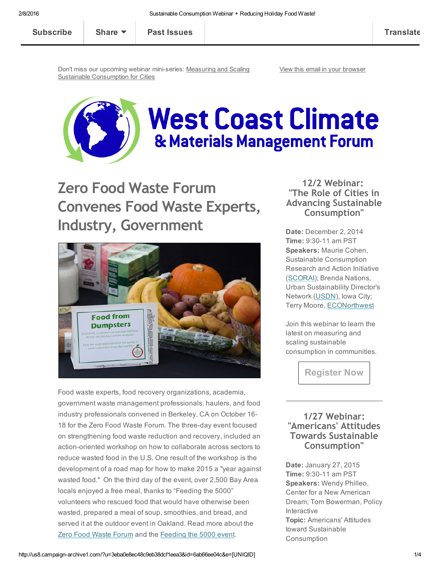Don't miss our upcoming webinar mini-series: Measuring and Scaling Sustainable [Consumption](http://westcoastclimateforum.com/annualwebinar) for Cities

View this email in your [browser](http://us8.campaign-archive2.com/?u=3eba0e8ec48c9eb38dcf1eea3&id=6ab66ee04c&e=[UNIQID])



# **West Coast Climate** & Materials Management Forum

Zero Food Waste Forum Convenes Food Waste Experts, Industry, Government



Food waste experts, food recovery organizations, academia, government waste management professionals, haulers, and food industry professionals convened in Berkeley, CA on October 16 18 for the Zero Food Waste Forum. The three-day event focused on strengthening food waste reduction and recovery, included an action-oriented workshop on how to collaborate across sectors to reduce wasted food in the U.S. One result of the workshop is the development of a road map for how to make 2015 a "year against wasted food." On the third day of the event, over 2,500 Bay Area locals enjoyed a free meal, thanks to "Feeding the 5000" volunteers who rescued food that would have otherwise been wasted, prepared a meal of soup, smoothies, and bread, and served it at the outdoor event in Oakland. Read more about the Zero Food Waste [Forum](http://switchboard.nrdc.org/blogs/dgunders/the_zero_food_waste_forum_a_pl.html) and the [Feeding](http://blog.sfgate.com/inoakland/2014/10/23/feeding-the-5000-serves-free-smoothies-and-soup-satisfies-thousands/) the 5000 event.

12/2 Webinar: "The Role of Cities in Advancing Sustainable Consumption"

Date: December 2, 2014 **Time: 9:30-11 am PST** Speakers: Maurie Cohen, Sustainable Consumption Research and Action Initiative [\(SCORAI\)](http://scorai.org/); Brenda Nations, Urban Sustainability Director's Network ([USDN\)](http://usdn.org/), Iowa City; Terry Moore, [ECONorthwest](http://www.econw.com/)

Join this webinar to learn the latest on measuring and scaling sustainable consumption in communities.

[Register](http://bit.ly/dec14webinar) Now

#### 1/27 Webinar: "Americans' Attitudes Towards Sustainable Consumption"

Date: January 27, 2015 **Time: 9:30-11 am PST** Speakers: Wendy Philleo, Center for a New American Dream; Tom Bowerman, Policy Interactive Topic: Americans' Attitudes toward Sustainable **Consumption**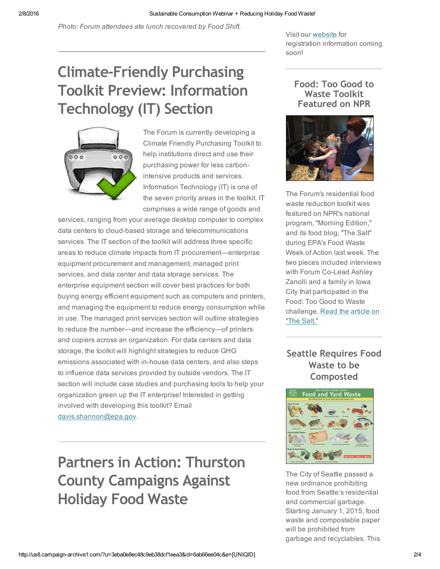*Photo: Forum attendees ate lunch recovered by Food Shift.*

Visit our [website](http://westcoastclimateforum.com/annualwebinar) for registration information coming soon!

## Climate‐Friendly Purchasing Toolkit Preview: Information Technology (IT) Section



The Forum is currently developing a Climate Friendly Purchasing Toolkit to help institutions direct and use their purchasing power for less carbonintensive products and services. Information Technology (IT) is one of the seven priority areas in the toolkit. IT comprises a wide range of goods and

services, ranging from your average desktop computer to complex data centers to cloud-based storage and telecommunications services. The IT section of the toolkit will address three specific areas to reduce climate impacts from IT procurement—enterprise equipment procurement and management, managed print services, and data center and data storage services. The enterprise equipment section will cover best practices for both buying energy efficient equipment such as computers and printers, and managing the equipment to reduce energy consumption while in use. The managed print services section will outline strategies to reduce the number—and increase the efficiency—of printers and copiers across an organization. For data centers and data storage, the toolkit will highlight strategies to reduce GHG emissions associated with in-house data centers, and also steps to influence data services provided by outside vendors. The IT section will include case studies and purchasing tools to help your organization green up the IT enterprise! Interested in getting involved with developing this toolkit? Email [davis.shannon@epa.gov.](mailto:davis.shannon.@epa.gov?subject=Climate%20Friendly%20Purchasing%20Toolkit)

Partners in Action: Thurston County Campaigns Against Holiday Food Waste

#### Food: Too Good to Waste Toolkit Featured on NPR



The Forum's residential food waste reduction toolkit was featured on NPR's national program, "Morning Edition," and its food blog, "The Salt" during EPA's Food Waste Week of Action last week. The two pieces included interviews with Forum Co-Lead Ashley Zanolli and a family in Iowa City that participated in the Food: Too Good to Waste [challenge.](http://www.npr.org/blogs/thesalt/2014/11/17/364172105/to-end-food-waste-change-needs-to-begin-at-home) Read the article on "The Salt."

#### Seattle Requires Food Waste to be Composted



The City of Seattle passed a new ordinance prohibiting food from Seattle's residential and commercial garbage. Starting January 1, 2015, food waste and compostable paper will be prohibited from garbage and recyclables. This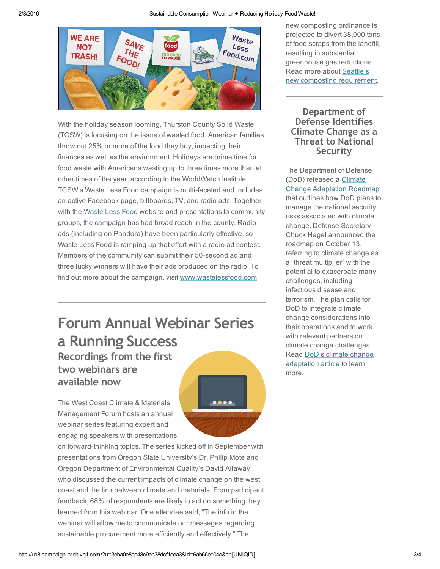

With the holiday season looming, Thurston County Solid Waste (TCSW) is focusing on the issue of wasted food. American families throw out 25% or more of the food they buy, impacting their finances as well as the environment. Holidays are prime time for food waste with Americans wasting up to three times more than at other times of the year, according to the WorldWatch Institute. TCSW's Waste Less Food campaign is multi-faceted and includes an active Facebook page, billboards, TV, and radio ads. Together with the [Waste](http://www.wastelessfood.com/) Less Food website and presentations to community groups, the campaign has had broad reach in the county. Radio ads (including on Pandora) have been particularly effective, so Waste Less Food is ramping up that effort with a radio ad contest. Members of the community can submit their 50-second ad and three lucky winners will have their ads produced on the radio. To find out more about the campaign, visit [www.wastelessfood.com.](http://www.wastelessfood.com/)

### Forum Annual Webinar Series a Running Success Recordings from the first two webinars are available now

The West Coast Climate & Materials Management Forum hosts an annual webinar series featuring expert and engaging speakers with presentations

on forward-thinking topics. The series kicked off in September with presentations from Oregon State University's Dr. Philip Mote and Oregon Department of Environmental Quality's David Allaway, who discussed the current impacts of climate change on the west coast and the link between climate and materials. From participant feedback, 68% of respondents are likely to act on something they learned from this webinar. One attendee said, "The info in the webinar will allow me to communicate our messages regarding sustainable procurement more efficiently and effectively." The

new composting ordinance is projected to divert 38,000 tons of food scraps from the landfill, resulting in substantial greenhouse gas reductions. Read more about Seattle's new composting [requirement.](http://www.seattle.gov/util/MyServices/Garbage/HouseResidentsGarbage/CompostRequirement/index.htm)

#### Department of Defense Identifies Climate Change as a Threat to National Security

The Department of Defense (DoD) released a Climate Change [Adaptation](http://www.acq.osd.mil/ie/download/CCARprint.pdf) Roadmap that outlines how DoD plans to manage the national security risks associated with climate change. Defense Secretary Chuck Hagel announced the roadmap on October 13, referring to climate change as a "threat multiplier" with the potential to exacerbate many challenges, including infectious disease and terrorism. The plan calls for DoD to integrate climate change considerations into their operations and to work with relevant partners on climate change challenges. Read DoD's climate change [adaptation](http://www.defense.gov/news/newsarticle.aspx?id=123398) article to learn more.